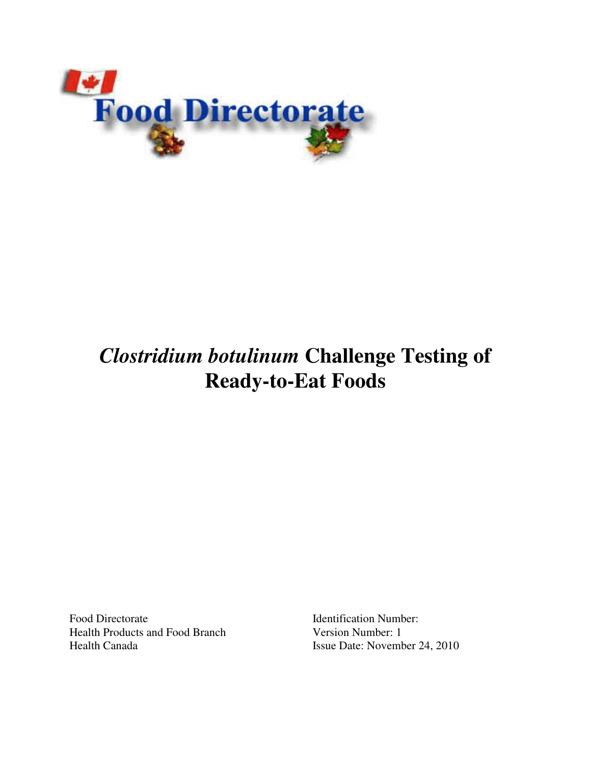

# *Clostridium botulinum* **Challenge Testing of Ready-to-Eat Foods**

Food Directorate Identification Number: Health Products and Food Branch Version Number: 1 Health Canada Issue Date: November 24, 2010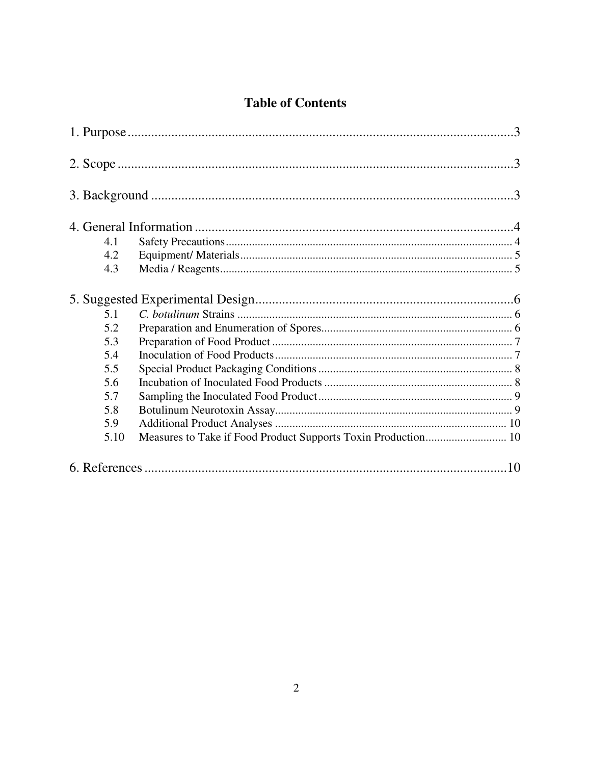## **Table of Contents**

| 4.1                                                                   |  |
|-----------------------------------------------------------------------|--|
| 4.2                                                                   |  |
| 4.3                                                                   |  |
|                                                                       |  |
| 5.1                                                                   |  |
| 5.2                                                                   |  |
| 5.3                                                                   |  |
| 5.4                                                                   |  |
| 5.5                                                                   |  |
| 5.6                                                                   |  |
| 5.7                                                                   |  |
| 5.8                                                                   |  |
| 5.9                                                                   |  |
| Measures to Take if Food Product Supports Toxin Production 10<br>5.10 |  |
|                                                                       |  |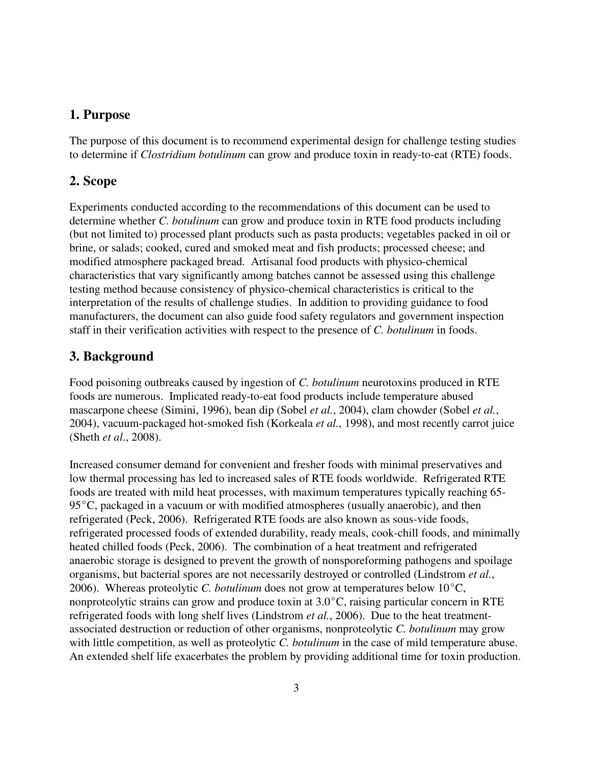## **1. Purpose**

The purpose of this document is to recommend experimental design for challenge testing studies to determine if *Clostridium botulinum* can grow and produce toxin in ready-to-eat (RTE) foods.

## **2. Scope**

Experiments conducted according to the recommendations of this document can be used to determine whether *C. botulinum* can grow and produce toxin in RTE food products including (but not limited to) processed plant products such as pasta products; vegetables packed in oil or brine, or salads; cooked, cured and smoked meat and fish products; processed cheese; and modified atmosphere packaged bread. Artisanal food products with physico-chemical characteristics that vary significantly among batches cannot be assessed using this challenge testing method because consistency of physico-chemical characteristics is critical to the interpretation of the results of challenge studies. In addition to providing guidance to food manufacturers, the document can also guide food safety regulators and government inspection staff in their verification activities with respect to the presence of *C. botulinum* in foods.

## **3. Background**

Food poisoning outbreaks caused by ingestion of *C. botulinum* neurotoxins produced in RTE foods are numerous. Implicated ready-to-eat food products include temperature abused mascarpone cheese (Simini, 1996), bean dip (Sobel *et al.*, 2004), clam chowder (Sobel *et al.*, 2004), vacuum-packaged hot-smoked fish (Korkeala *et al.*, 1998), and most recently carrot juice (Sheth *et al*., 2008).

Increased consumer demand for convenient and fresher foods with minimal preservatives and low thermal processing has led to increased sales of RTE foods worldwide. Refrigerated RTE foods are treated with mild heat processes, with maximum temperatures typically reaching 65-  $95^{\circ}$ C, packaged in a vacuum or with modified atmospheres (usually anaerobic), and then refrigerated (Peck, 2006). Refrigerated RTE foods are also known as sous-vide foods, refrigerated processed foods of extended durability, ready meals, cook-chill foods, and minimally heated chilled foods (Peck, 2006). The combination of a heat treatment and refrigerated anaerobic storage is designed to prevent the growth of nonsporeforming pathogens and spoilage organisms, but bacterial spores are not necessarily destroyed or controlled (Lindstrom *et al.*, 2006). Whereas proteolytic *C. botulinum* does not grow at temperatures below  $10^{\circ}$ C, nonproteolytic strains can grow and produce toxin at  $3.0^{\circ}$ C, raising particular concern in RTE refrigerated foods with long shelf lives (Lindstrom *et al.*, 2006). Due to the heat treatmentassociated destruction or reduction of other organisms, nonproteolytic *C. botulinum* may grow with little competition, as well as proteolytic *C. botulinum* in the case of mild temperature abuse. An extended shelf life exacerbates the problem by providing additional time for toxin production.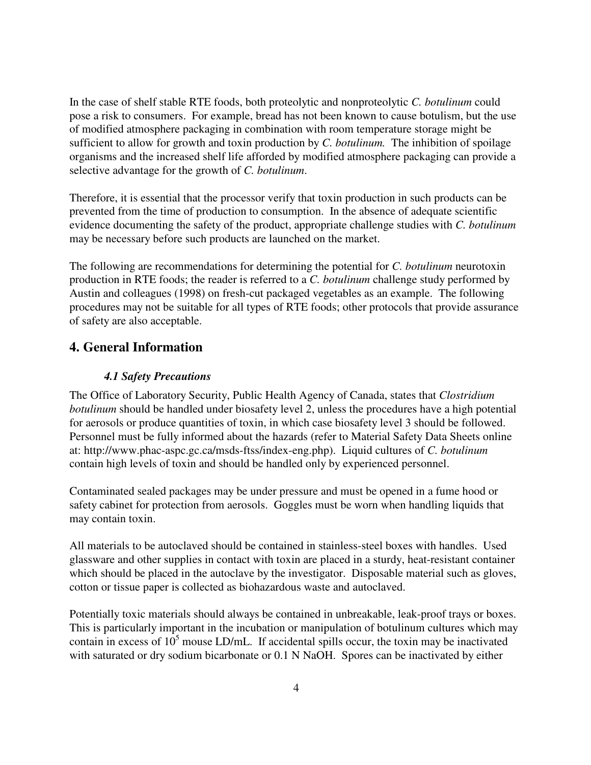In the case of shelf stable RTE foods, both proteolytic and nonproteolytic *C. botulinum* could pose a risk to consumers. For example, bread has not been known to cause botulism, but the use of modified atmosphere packaging in combination with room temperature storage might be sufficient to allow for growth and toxin production by *C. botulinum.* The inhibition of spoilage organisms and the increased shelf life afforded by modified atmosphere packaging can provide a selective advantage for the growth of *C. botulinum*.

Therefore, it is essential that the processor verify that toxin production in such products can be prevented from the time of production to consumption. In the absence of adequate scientific evidence documenting the safety of the product, appropriate challenge studies with *C. botulinum* may be necessary before such products are launched on the market.

The following are recommendations for determining the potential for *C. botulinum* neurotoxin production in RTE foods; the reader is referred to a *C. botulinum* challenge study performed by Austin and colleagues (1998) on fresh-cut packaged vegetables as an example. The following procedures may not be suitable for all types of RTE foods; other protocols that provide assurance of safety are also acceptable.

## **4. General Information**

## *4.1 Safety Precautions*

The Office of Laboratory Security, Public Health Agency of Canada, states that *Clostridium botulinum* should be handled under biosafety level 2, unless the procedures have a high potential for aerosols or produce quantities of toxin, in which case biosafety level 3 should be followed. Personnel must be fully informed about the hazards (refer to Material Safety Data Sheets online at: http://www.phac-aspc.gc.ca/msds-ftss/index-eng.php). Liquid cultures of *C. botulinum*  contain high levels of toxin and should be handled only by experienced personnel.

Contaminated sealed packages may be under pressure and must be opened in a fume hood or safety cabinet for protection from aerosols. Goggles must be worn when handling liquids that may contain toxin.

All materials to be autoclaved should be contained in stainless-steel boxes with handles. Used glassware and other supplies in contact with toxin are placed in a sturdy, heat-resistant container which should be placed in the autoclave by the investigator. Disposable material such as gloves, cotton or tissue paper is collected as biohazardous waste and autoclaved.

Potentially toxic materials should always be contained in unbreakable, leak-proof trays or boxes. This is particularly important in the incubation or manipulation of botulinum cultures which may contain in excess of  $10^5$  mouse LD/mL. If accidental spills occur, the toxin may be inactivated with saturated or dry sodium bicarbonate or 0.1 N NaOH. Spores can be inactivated by either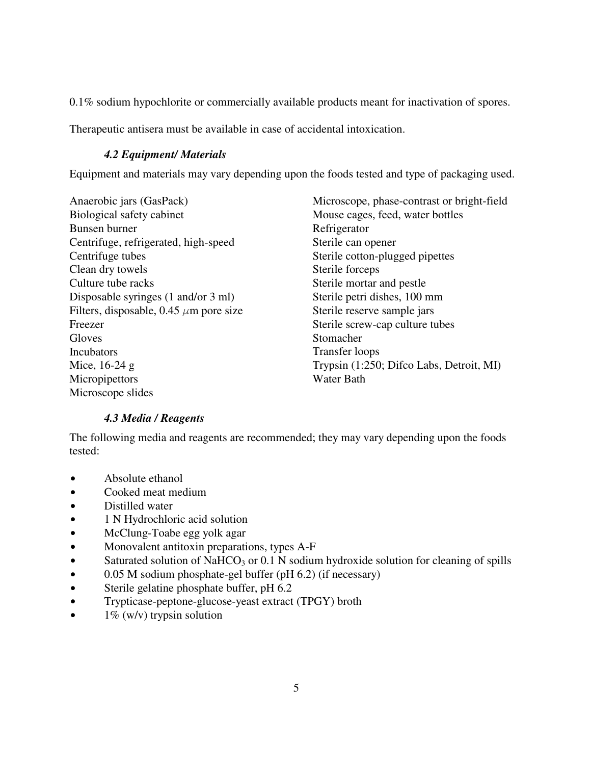0.1% sodium hypochlorite or commercially available products meant for inactivation of spores.

Therapeutic antisera must be available in case of accidental intoxication.

### *4.2 Equipment/ Materials*

Equipment and materials may vary depending upon the foods tested and type of packaging used.

Anaerobic jars (GasPack) Biological safety cabinet Bunsen burner Centrifuge, refrigerated, high-speed Centrifuge tubes Clean dry towels Culture tube racks Disposable syringes (1 and/or 3 ml) Filters, disposable, 0.45  $\mu$ m pore size Freezer **Gloves** Incubators Mice, 16-24 g **Micropipettors** Microscope slides

Microscope, phase-contrast or bright-field Mouse cages, feed, water bottles Refrigerator Sterile can opener Sterile cotton-plugged pipettes Sterile forceps Sterile mortar and pestle Sterile petri dishes, 100 mm Sterile reserve sample jars Sterile screw-cap culture tubes Stomacher Transfer loops Trypsin (1:250; Difco Labs, Detroit, MI) Water Bath

#### *4.3 Media / Reagents*

The following media and reagents are recommended; they may vary depending upon the foods tested:

- Absolute ethanol
- Cooked meat medium
- Distilled water
- $\bullet$  1 N Hydrochloric acid solution
- McClung-Toabe egg yolk agar
- Monovalent antitoxin preparations, types A-F
- $\bullet$  Saturated solution of NaHCO<sub>3</sub> or 0.1 N sodium hydroxide solution for cleaning of spills
- $\bullet$  0.05 M sodium phosphate-gel buffer (pH 6.2) (if necessary)
- Sterile gelatine phosphate buffer, pH 6.2
- Trypticase-peptone-glucose-yeast extract (TPGY) broth
- $\bullet$  1% (w/v) trypsin solution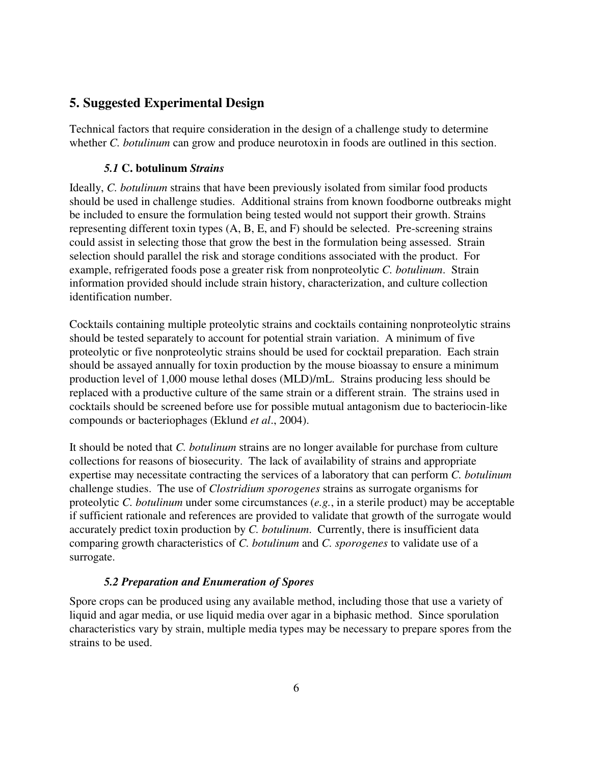## **5. Suggested Experimental Design**

Technical factors that require consideration in the design of a challenge study to determine whether *C. botulinum* can grow and produce neurotoxin in foods are outlined in this section.

#### *5.1* **C. botulinum** *Strains*

Ideally, *C. botulinum* strains that have been previously isolated from similar food products should be used in challenge studies. Additional strains from known foodborne outbreaks might be included to ensure the formulation being tested would not support their growth. Strains representing different toxin types (A, B, E, and F) should be selected. Pre-screening strains could assist in selecting those that grow the best in the formulation being assessed. Strain selection should parallel the risk and storage conditions associated with the product. For example, refrigerated foods pose a greater risk from nonproteolytic *C. botulinum*. Strain information provided should include strain history, characterization, and culture collection identification number.

Cocktails containing multiple proteolytic strains and cocktails containing nonproteolytic strains should be tested separately to account for potential strain variation. A minimum of five proteolytic or five nonproteolytic strains should be used for cocktail preparation. Each strain should be assayed annually for toxin production by the mouse bioassay to ensure a minimum production level of 1,000 mouse lethal doses (MLD)/mL. Strains producing less should be replaced with a productive culture of the same strain or a different strain. The strains used in cocktails should be screened before use for possible mutual antagonism due to bacteriocin-like compounds or bacteriophages (Eklund *et al*., 2004).

It should be noted that *C. botulinum* strains are no longer available for purchase from culture collections for reasons of biosecurity. The lack of availability of strains and appropriate expertise may necessitate contracting the services of a laboratory that can perform *C. botulinum* challenge studies. The use of *Clostridium sporogenes* strains as surrogate organisms for proteolytic *C. botulinum* under some circumstances (*e.g.*, in a sterile product) may be acceptable if sufficient rationale and references are provided to validate that growth of the surrogate would accurately predict toxin production by *C. botulinum*. Currently, there is insufficient data comparing growth characteristics of *C. botulinum* and *C. sporogenes* to validate use of a surrogate.

#### *5.2 Preparation and Enumeration of Spores*

Spore crops can be produced using any available method, including those that use a variety of liquid and agar media, or use liquid media over agar in a biphasic method. Since sporulation characteristics vary by strain, multiple media types may be necessary to prepare spores from the strains to be used.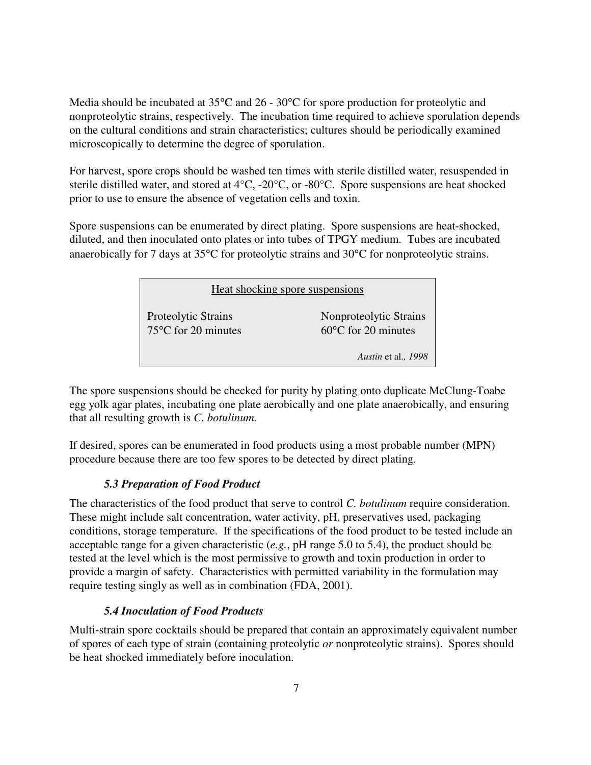Media should be incubated at 35<sup>o</sup>C and 26 - 30<sup>o</sup>C for spore production for proteolytic and nonproteolytic strains, respectively. The incubation time required to achieve sporulation depends on the cultural conditions and strain characteristics; cultures should be periodically examined microscopically to determine the degree of sporulation.

For harvest, spore crops should be washed ten times with sterile distilled water, resuspended in sterile distilled water, and stored at 4°C, -20°C, or -80°C. Spore suspensions are heat shocked prior to use to ensure the absence of vegetation cells and toxin.

Spore suspensions can be enumerated by direct plating. Spore suspensions are heat-shocked, diluted, and then inoculated onto plates or into tubes of TPGY medium. Tubes are incubated anaerobically for 7 days at 35°C for proteolytic strains and 30°C for nonproteolytic strains.

| Heat shocking spore suspensions                      |                                                         |  |
|------------------------------------------------------|---------------------------------------------------------|--|
| Proteolytic Strains<br>$75^{\circ}$ C for 20 minutes | Nonproteolytic Strains<br>$60^{\circ}$ C for 20 minutes |  |
|                                                      | Austin et al., 1998                                     |  |

The spore suspensions should be checked for purity by plating onto duplicate McClung-Toabe egg yolk agar plates, incubating one plate aerobically and one plate anaerobically, and ensuring that all resulting growth is *C. botulinum.* 

If desired, spores can be enumerated in food products using a most probable number (MPN) procedure because there are too few spores to be detected by direct plating.

## *5.3 Preparation of Food Product*

The characteristics of the food product that serve to control *C. botulinum* require consideration. These might include salt concentration, water activity, pH, preservatives used, packaging conditions, storage temperature. If the specifications of the food product to be tested include an acceptable range for a given characteristic (*e.g.*, pH range 5.0 to 5.4), the product should be tested at the level which is the most permissive to growth and toxin production in order to provide a margin of safety. Characteristics with permitted variability in the formulation may require testing singly as well as in combination (FDA, 2001).

## *5.4 Inoculation of Food Products*

Multi-strain spore cocktails should be prepared that contain an approximately equivalent number of spores of each type of strain (containing proteolytic *or* nonproteolytic strains). Spores should be heat shocked immediately before inoculation.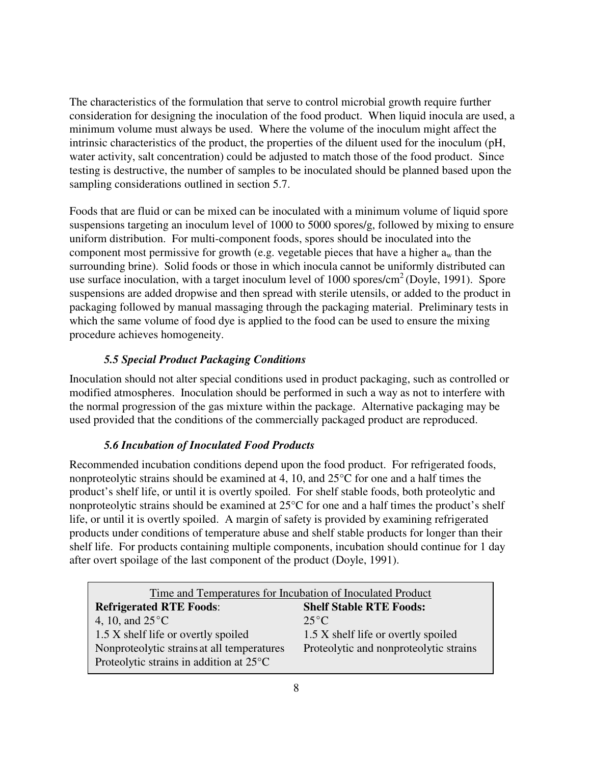The characteristics of the formulation that serve to control microbial growth require further consideration for designing the inoculation of the food product. When liquid inocula are used, a minimum volume must always be used. Where the volume of the inoculum might affect the intrinsic characteristics of the product, the properties of the diluent used for the inoculum (pH, water activity, salt concentration) could be adjusted to match those of the food product. Since testing is destructive, the number of samples to be inoculated should be planned based upon the sampling considerations outlined in section 5.7.

Foods that are fluid or can be mixed can be inoculated with a minimum volume of liquid spore suspensions targeting an inoculum level of 1000 to 5000 spores/g, followed by mixing to ensure uniform distribution. For multi-component foods, spores should be inoculated into the component most permissive for growth (e.g. vegetable pieces that have a higher  $a_w$  than the surrounding brine). Solid foods or those in which inocula cannot be uniformly distributed can use surface inoculation, with a target inoculum level of  $1000$  spores/cm<sup>2</sup> (Doyle, 1991). Spore suspensions are added dropwise and then spread with sterile utensils, or added to the product in packaging followed by manual massaging through the packaging material. Preliminary tests in which the same volume of food dye is applied to the food can be used to ensure the mixing procedure achieves homogeneity.

## *5.5 Special Product Packaging Conditions*

Inoculation should not alter special conditions used in product packaging, such as controlled or modified atmospheres. Inoculation should be performed in such a way as not to interfere with the normal progression of the gas mixture within the package. Alternative packaging may be used provided that the conditions of the commercially packaged product are reproduced.

## *5.6 Incubation of Inoculated Food Products*

Recommended incubation conditions depend upon the food product. For refrigerated foods, nonproteolytic strains should be examined at 4, 10, and 25°C for one and a half times the product's shelf life, or until it is overtly spoiled. For shelf stable foods, both proteolytic and nonproteolytic strains should be examined at 25°C for one and a half times the product's shelf life, or until it is overtly spoiled. A margin of safety is provided by examining refrigerated products under conditions of temperature abuse and shelf stable products for longer than their shelf life. For products containing multiple components, incubation should continue for 1 day after overt spoilage of the last component of the product (Doyle, 1991).

| Time and Temperatures for Incubation of Inoculated Product |                                        |  |
|------------------------------------------------------------|----------------------------------------|--|
| <b>Refrigerated RTE Foods:</b>                             | <b>Shelf Stable RTE Foods:</b>         |  |
| 4, 10, and $25^{\circ}$ C                                  | $25^{\circ}$ C                         |  |
| 1.5 X shelf life or overtly spoiled                        | 1.5 X shelf life or overtly spoiled    |  |
| Nonproteolytic strains at all temperatures                 | Proteolytic and nonproteolytic strains |  |
| Proteolytic strains in addition at $25^{\circ}$ C          |                                        |  |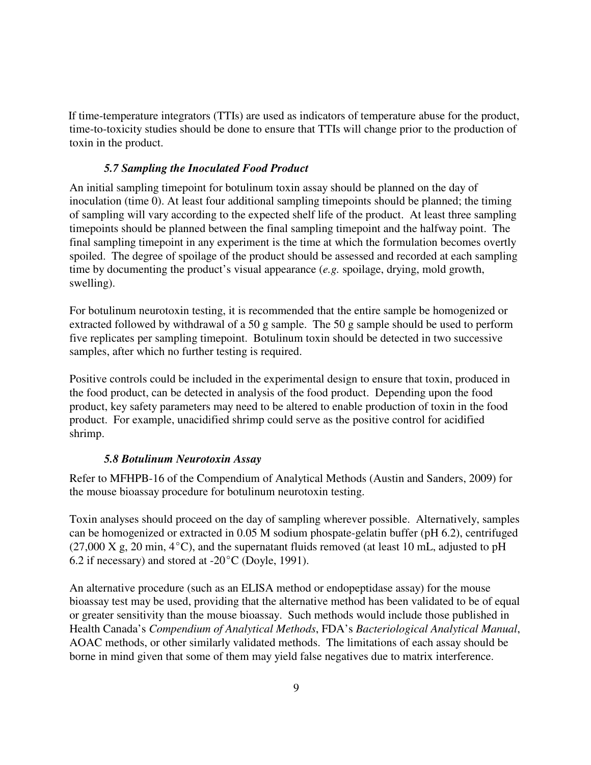If time-temperature integrators (TTIs) are used as indicators of temperature abuse for the product, time-to-toxicity studies should be done to ensure that TTIs will change prior to the production of toxin in the product.

#### *5.7 Sampling the Inoculated Food Product*

An initial sampling timepoint for botulinum toxin assay should be planned on the day of inoculation (time 0). At least four additional sampling timepoints should be planned; the timing of sampling will vary according to the expected shelf life of the product. At least three sampling timepoints should be planned between the final sampling timepoint and the halfway point. The final sampling timepoint in any experiment is the time at which the formulation becomes overtly spoiled. The degree of spoilage of the product should be assessed and recorded at each sampling time by documenting the product's visual appearance (*e.g.* spoilage, drying, mold growth, swelling).

For botulinum neurotoxin testing, it is recommended that the entire sample be homogenized or extracted followed by withdrawal of a 50 g sample. The 50 g sample should be used to perform five replicates per sampling timepoint. Botulinum toxin should be detected in two successive samples, after which no further testing is required.

Positive controls could be included in the experimental design to ensure that toxin, produced in the food product, can be detected in analysis of the food product. Depending upon the food product, key safety parameters may need to be altered to enable production of toxin in the food product. For example, unacidified shrimp could serve as the positive control for acidified shrimp.

#### *5.8 Botulinum Neurotoxin Assay*

Refer to MFHPB-16 of the Compendium of Analytical Methods (Austin and Sanders, 2009) for the mouse bioassay procedure for botulinum neurotoxin testing.

Toxin analyses should proceed on the day of sampling wherever possible. Alternatively, samples can be homogenized or extracted in 0.05 M sodium phospate-gelatin buffer (pH 6.2), centrifuged  $(27,000 \text{ X g}, 20 \text{ min}, 4^{\circ}\text{C})$ , and the supernatant fluids removed (at least 10 mL, adjusted to pH 6.2 if necessary) and stored at  $-20^{\circ}$ C (Doyle, 1991).

An alternative procedure (such as an ELISA method or endopeptidase assay) for the mouse bioassay test may be used, providing that the alternative method has been validated to be of equal or greater sensitivity than the mouse bioassay. Such methods would include those published in Health Canada's *Compendium of Analytical Methods*, FDA's *Bacteriological Analytical Manual*, AOAC methods, or other similarly validated methods. The limitations of each assay should be borne in mind given that some of them may yield false negatives due to matrix interference.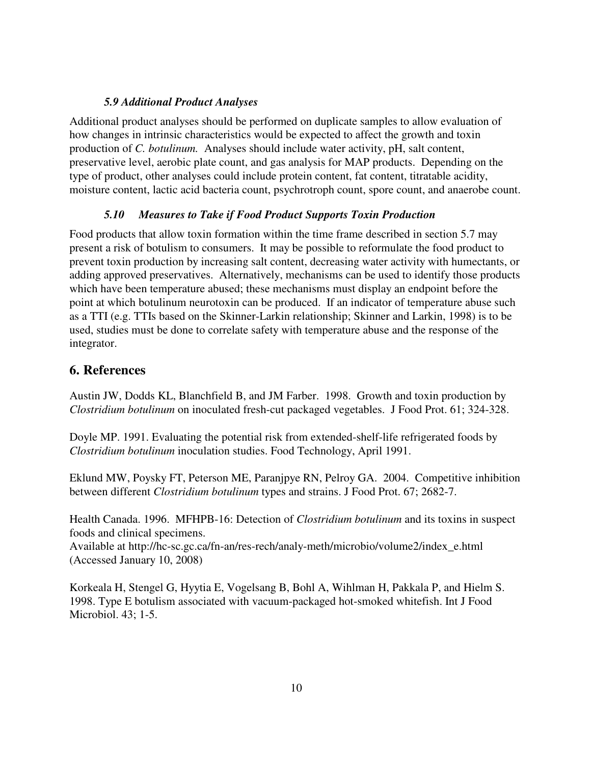#### *5.9 Additional Product Analyses*

Additional product analyses should be performed on duplicate samples to allow evaluation of how changes in intrinsic characteristics would be expected to affect the growth and toxin production of *C. botulinum.* Analyses should include water activity, pH, salt content, preservative level, aerobic plate count, and gas analysis for MAP products. Depending on the type of product, other analyses could include protein content, fat content, titratable acidity, moisture content, lactic acid bacteria count, psychrotroph count, spore count, and anaerobe count.

## *5.10 Measures to Take if Food Product Supports Toxin Production*

Food products that allow toxin formation within the time frame described in section 5.7 may present a risk of botulism to consumers. It may be possible to reformulate the food product to prevent toxin production by increasing salt content, decreasing water activity with humectants, or adding approved preservatives. Alternatively, mechanisms can be used to identify those products which have been temperature abused; these mechanisms must display an endpoint before the point at which botulinum neurotoxin can be produced. If an indicator of temperature abuse such as a TTI (e.g. TTIs based on the Skinner-Larkin relationship; Skinner and Larkin, 1998) is to be used, studies must be done to correlate safety with temperature abuse and the response of the integrator.

## **6. References**

Austin JW, Dodds KL, Blanchfield B, and JM Farber. 1998. Growth and toxin production by *Clostridium botulinum* on inoculated fresh-cut packaged vegetables. J Food Prot. 61; 324-328.

Doyle MP. 1991. Evaluating the potential risk from extended-shelf-life refrigerated foods by *Clostridium botulinum* inoculation studies. Food Technology, April 1991.

Eklund MW, Poysky FT, Peterson ME, Paranjpye RN, Pelroy GA. 2004. Competitive inhibition between different *Clostridium botulinum* types and strains. J Food Prot. 67; 2682-7.

Health Canada. 1996. MFHPB-16: Detection of *Clostridium botulinum* and its toxins in suspect foods and clinical specimens.

Available at http://hc-sc.gc.ca/fn-an/res-rech/analy-meth/microbio/volume2/index\_e.html (Accessed January 10, 2008)

Korkeala H, Stengel G, Hyytia E, Vogelsang B, Bohl A, Wihlman H, Pakkala P, and Hielm S. 1998. Type E botulism associated with vacuum-packaged hot-smoked whitefish. Int J Food Microbiol. 43; 1-5.